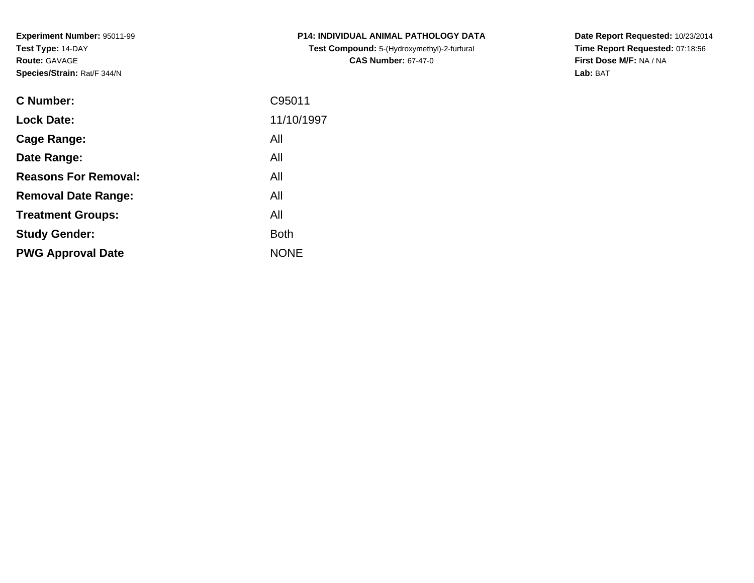**Experiment Number:** 95011-99**Test Type:** 14-DAY**Route:** GAVAGE**Species/Strain:** Rat/F 344/N

| <b>C Number:</b>            | C95011      |
|-----------------------------|-------------|
| <b>Lock Date:</b>           | 11/10/1997  |
| <b>Cage Range:</b>          | All         |
| Date Range:                 | All         |
| <b>Reasons For Removal:</b> | All         |
| <b>Removal Date Range:</b>  | All         |
| <b>Treatment Groups:</b>    | All         |
| <b>Study Gender:</b>        | <b>Both</b> |
| <b>PWG Approval Date</b>    | <b>NONE</b> |
|                             |             |

**P14: INDIVIDUAL ANIMAL PATHOLOGY DATATest Compound:** 5-(Hydroxymethyl)-2-furfural **CAS Number:** 67-47-0

**Date Report Requested:** 10/23/2014 **Time Report Requested:** 07:18:56**First Dose M/F:** NA / NA**Lab:** BAT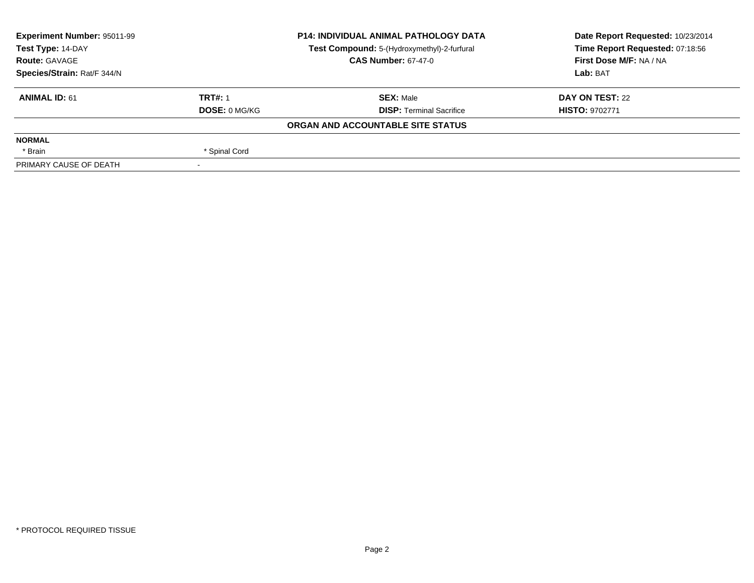| Experiment Number: 95011-99<br><b>P14: INDIVIDUAL ANIMAL PATHOLOGY DATA</b><br>Test Type: 14-DAY<br>Test Compound: 5-(Hydroxymethyl)-2-furfural |                      | Date Report Requested: 10/23/2014 |                                 |
|-------------------------------------------------------------------------------------------------------------------------------------------------|----------------------|-----------------------------------|---------------------------------|
|                                                                                                                                                 |                      |                                   | Time Report Requested: 07:18:56 |
| <b>Route: GAVAGE</b>                                                                                                                            |                      | <b>CAS Number: 67-47-0</b>        | First Dose M/F: NA / NA         |
| Species/Strain: Rat/F 344/N                                                                                                                     |                      |                                   | Lab: BAT                        |
| <b>ANIMAL ID: 61</b>                                                                                                                            | <b>TRT#: 1</b>       | <b>SEX: Male</b>                  | DAY ON TEST: 22                 |
|                                                                                                                                                 | <b>DOSE: 0 MG/KG</b> | <b>DISP: Terminal Sacrifice</b>   | <b>HISTO: 9702771</b>           |
|                                                                                                                                                 |                      | ORGAN AND ACCOUNTABLE SITE STATUS |                                 |
| <b>NORMAL</b>                                                                                                                                   |                      |                                   |                                 |
| * Brain                                                                                                                                         | * Spinal Cord        |                                   |                                 |
| PRIMARY CAUSE OF DEATH                                                                                                                          |                      |                                   |                                 |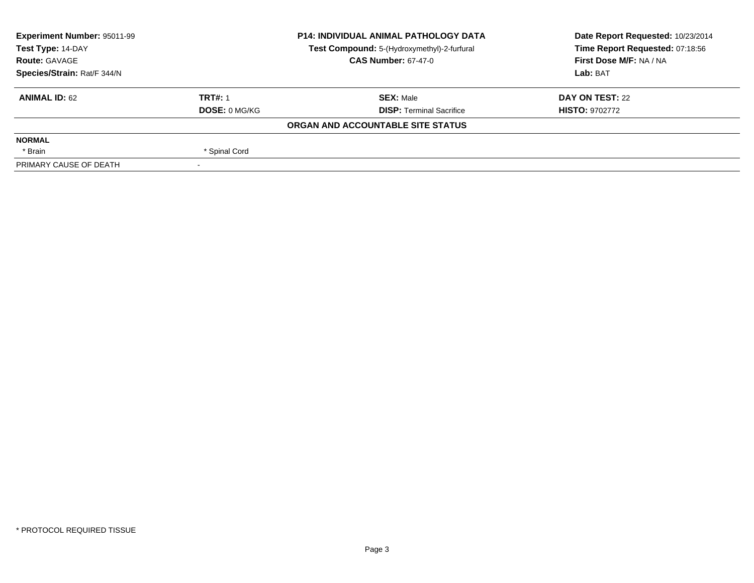| Experiment Number: 95011-99<br><b>P14: INDIVIDUAL ANIMAL PATHOLOGY DATA</b><br>Test Type: 14-DAY |                | Date Report Requested: 10/23/2014           |                                 |
|--------------------------------------------------------------------------------------------------|----------------|---------------------------------------------|---------------------------------|
|                                                                                                  |                | Test Compound: 5-(Hydroxymethyl)-2-furfural | Time Report Requested: 07:18:56 |
| <b>Route: GAVAGE</b>                                                                             |                | <b>CAS Number: 67-47-0</b>                  | First Dose M/F: NA / NA         |
| Species/Strain: Rat/F 344/N                                                                      |                |                                             | Lab: BAT                        |
| <b>ANIMAL ID: 62</b>                                                                             | <b>TRT#: 1</b> | <b>SEX: Male</b>                            | DAY ON TEST: 22                 |
|                                                                                                  | DOSE: 0 MG/KG  | <b>DISP: Terminal Sacrifice</b>             | <b>HISTO: 9702772</b>           |
|                                                                                                  |                | ORGAN AND ACCOUNTABLE SITE STATUS           |                                 |
| <b>NORMAL</b>                                                                                    |                |                                             |                                 |
| * Brain                                                                                          | * Spinal Cord  |                                             |                                 |
| PRIMARY CAUSE OF DEATH                                                                           |                |                                             |                                 |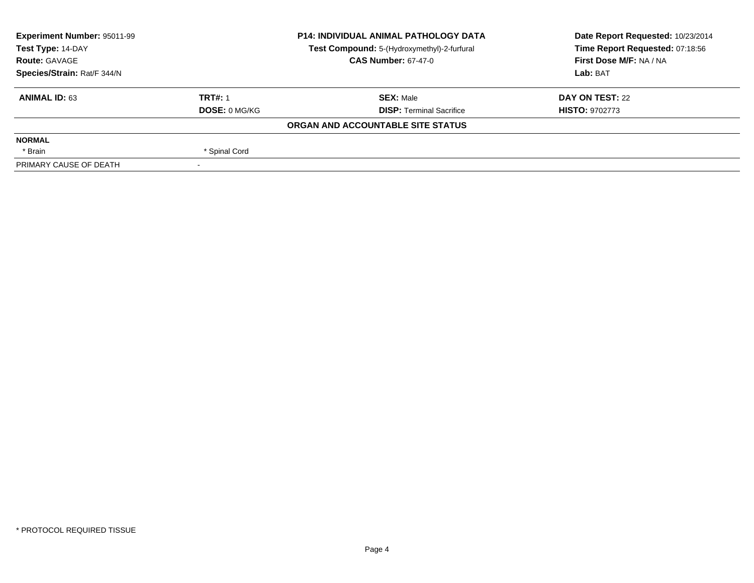| Experiment Number: 95011-99 | <b>P14: INDIVIDUAL ANIMAL PATHOLOGY DATA</b> |                                             | Date Report Requested: 10/23/2014 |
|-----------------------------|----------------------------------------------|---------------------------------------------|-----------------------------------|
| Test Type: 14-DAY           |                                              | Test Compound: 5-(Hydroxymethyl)-2-furfural | Time Report Requested: 07:18:56   |
| <b>Route: GAVAGE</b>        |                                              | <b>CAS Number: 67-47-0</b>                  | First Dose M/F: NA / NA           |
| Species/Strain: Rat/F 344/N |                                              |                                             | Lab: BAT                          |
| <b>ANIMAL ID: 63</b>        | <b>TRT#: 1</b>                               | <b>SEX: Male</b>                            | DAY ON TEST: 22                   |
|                             | DOSE: 0 MG/KG                                | <b>DISP: Terminal Sacrifice</b>             | <b>HISTO: 9702773</b>             |
|                             |                                              | ORGAN AND ACCOUNTABLE SITE STATUS           |                                   |
| <b>NORMAL</b>               |                                              |                                             |                                   |
| * Brain                     | * Spinal Cord                                |                                             |                                   |
| PRIMARY CAUSE OF DEATH      |                                              |                                             |                                   |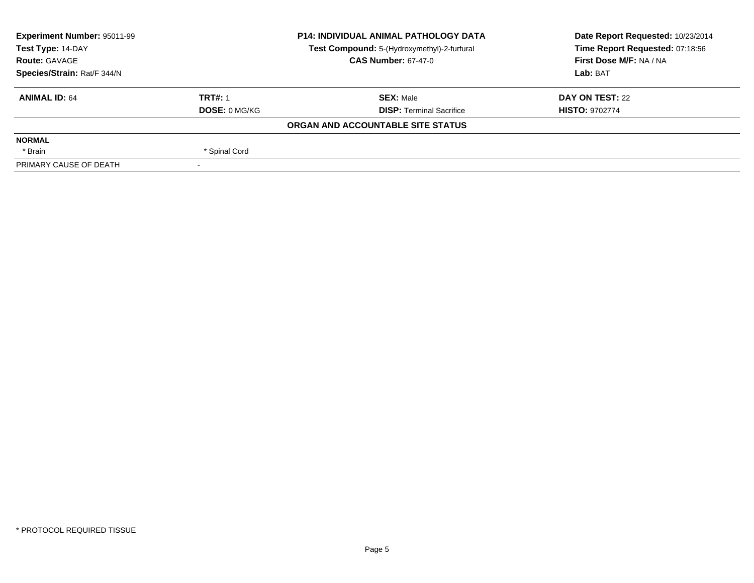| Experiment Number: 95011-99 | <b>P14: INDIVIDUAL ANIMAL PATHOLOGY DATA</b> |                                             | Date Report Requested: 10/23/2014 |
|-----------------------------|----------------------------------------------|---------------------------------------------|-----------------------------------|
| Test Type: 14-DAY           |                                              | Test Compound: 5-(Hydroxymethyl)-2-furfural | Time Report Requested: 07:18:56   |
| <b>Route: GAVAGE</b>        |                                              | <b>CAS Number: 67-47-0</b>                  | First Dose M/F: NA / NA           |
| Species/Strain: Rat/F 344/N |                                              |                                             | Lab: BAT                          |
| <b>ANIMAL ID: 64</b>        | <b>TRT#: 1</b>                               | <b>SEX: Male</b>                            | DAY ON TEST: 22                   |
|                             | <b>DOSE: 0 MG/KG</b>                         | <b>DISP: Terminal Sacrifice</b>             | <b>HISTO: 9702774</b>             |
|                             |                                              | ORGAN AND ACCOUNTABLE SITE STATUS           |                                   |
| <b>NORMAL</b>               |                                              |                                             |                                   |
| * Brain                     | * Spinal Cord                                |                                             |                                   |
| PRIMARY CAUSE OF DEATH      |                                              |                                             |                                   |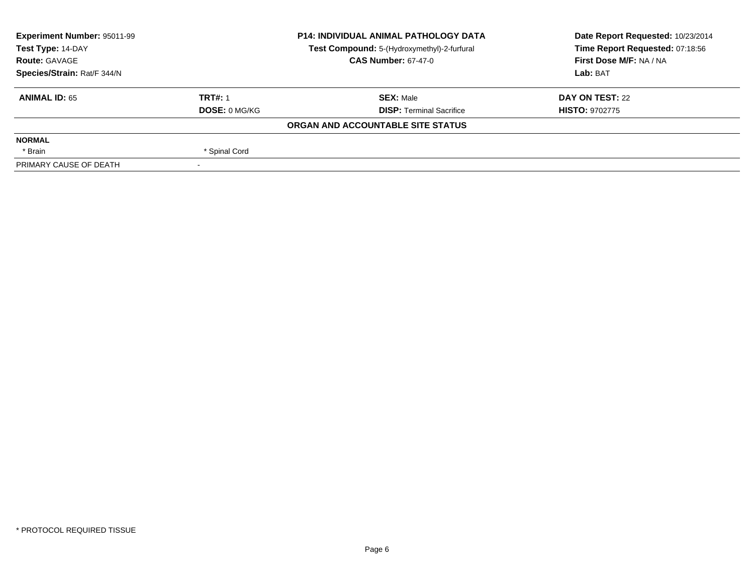| Experiment Number: 95011-99 | <b>P14: INDIVIDUAL ANIMAL PATHOLOGY DATA</b> |                                             | Date Report Requested: 10/23/2014 |
|-----------------------------|----------------------------------------------|---------------------------------------------|-----------------------------------|
| Test Type: 14-DAY           |                                              | Test Compound: 5-(Hydroxymethyl)-2-furfural | Time Report Requested: 07:18:56   |
| <b>Route: GAVAGE</b>        |                                              | <b>CAS Number: 67-47-0</b>                  | First Dose M/F: NA / NA           |
| Species/Strain: Rat/F 344/N |                                              |                                             | Lab: BAT                          |
| <b>ANIMAL ID: 65</b>        | <b>TRT#: 1</b>                               | <b>SEX: Male</b>                            | DAY ON TEST: 22                   |
|                             | <b>DOSE: 0 MG/KG</b>                         | <b>DISP: Terminal Sacrifice</b>             | <b>HISTO: 9702775</b>             |
|                             |                                              | ORGAN AND ACCOUNTABLE SITE STATUS           |                                   |
| <b>NORMAL</b>               |                                              |                                             |                                   |
| * Brain                     | * Spinal Cord                                |                                             |                                   |
| PRIMARY CAUSE OF DEATH      |                                              |                                             |                                   |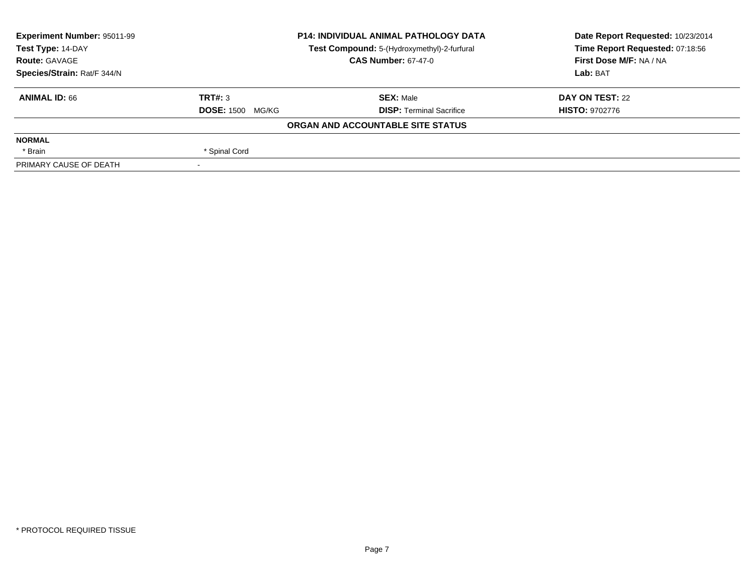| Experiment Number: 95011-99 | <b>P14: INDIVIDUAL ANIMAL PATHOLOGY DATA</b><br>Test Compound: 5-(Hydroxymethyl)-2-furfural |                                   | Date Report Requested: 10/23/2014 |
|-----------------------------|---------------------------------------------------------------------------------------------|-----------------------------------|-----------------------------------|
| Test Type: 14-DAY           |                                                                                             |                                   | Time Report Requested: 07:18:56   |
| <b>Route: GAVAGE</b>        |                                                                                             | <b>CAS Number: 67-47-0</b>        | First Dose M/F: NA / NA           |
| Species/Strain: Rat/F 344/N |                                                                                             |                                   | Lab: BAT                          |
| <b>ANIMAL ID: 66</b>        | TRT#: 3                                                                                     | <b>SEX: Male</b>                  | DAY ON TEST: 22                   |
|                             | <b>DOSE: 1500</b><br>MG/KG                                                                  | <b>DISP: Terminal Sacrifice</b>   | <b>HISTO: 9702776</b>             |
|                             |                                                                                             | ORGAN AND ACCOUNTABLE SITE STATUS |                                   |
| <b>NORMAL</b>               |                                                                                             |                                   |                                   |
| * Brain                     | * Spinal Cord                                                                               |                                   |                                   |
| PRIMARY CAUSE OF DEATH      |                                                                                             |                                   |                                   |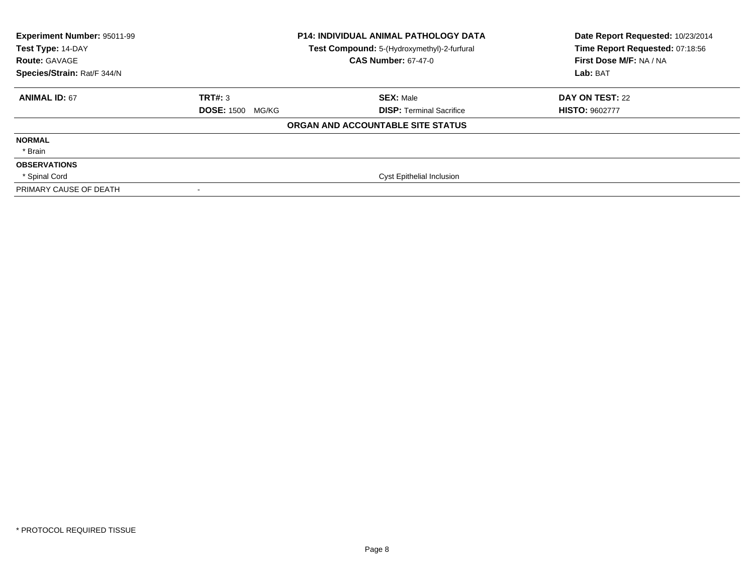| Experiment Number: 95011-99<br>Test Type: 14-DAY<br><b>Route: GAVAGE</b><br>Species/Strain: Rat/F 344/N |                         | <b>P14: INDIVIDUAL ANIMAL PATHOLOGY DATA</b><br>Test Compound: 5-(Hydroxymethyl)-2-furfural<br><b>CAS Number: 67-47-0</b> | Date Report Requested: 10/23/2014<br>Time Report Requested: 07:18:56<br>First Dose M/F: NA / NA<br>Lab: BAT |
|---------------------------------------------------------------------------------------------------------|-------------------------|---------------------------------------------------------------------------------------------------------------------------|-------------------------------------------------------------------------------------------------------------|
| <b>ANIMAL ID: 67</b>                                                                                    | TRT#: 3                 | <b>SEX: Male</b>                                                                                                          | DAY ON TEST: 22                                                                                             |
|                                                                                                         | <b>DOSE: 1500 MG/KG</b> | <b>DISP:</b> Terminal Sacrifice                                                                                           | <b>HISTO: 9602777</b>                                                                                       |
|                                                                                                         |                         | ORGAN AND ACCOUNTABLE SITE STATUS                                                                                         |                                                                                                             |
| <b>NORMAL</b>                                                                                           |                         |                                                                                                                           |                                                                                                             |
| * Brain                                                                                                 |                         |                                                                                                                           |                                                                                                             |
| <b>OBSERVATIONS</b>                                                                                     |                         |                                                                                                                           |                                                                                                             |
| * Spinal Cord                                                                                           |                         | Cyst Epithelial Inclusion                                                                                                 |                                                                                                             |
| PRIMARY CAUSE OF DEATH                                                                                  |                         |                                                                                                                           |                                                                                                             |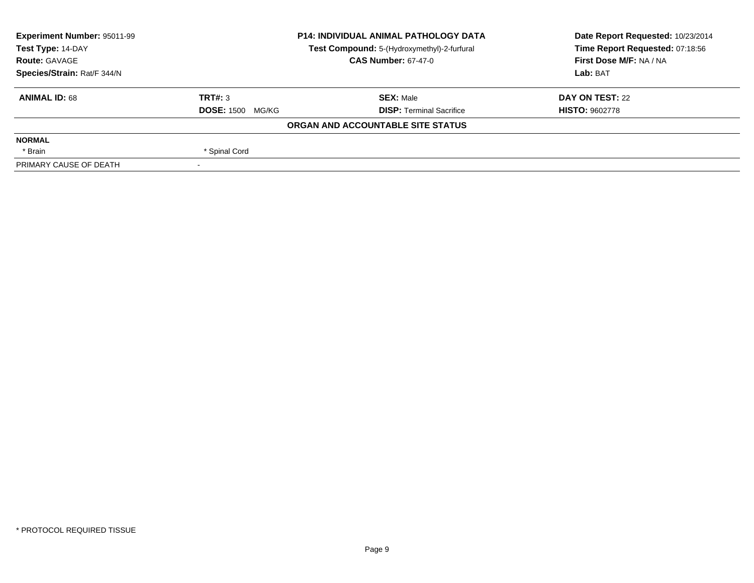| Experiment Number: 95011-99 | <b>P14: INDIVIDUAL ANIMAL PATHOLOGY DATA</b><br>Test Compound: 5-(Hydroxymethyl)-2-furfural |                                   | Date Report Requested: 10/23/2014 |
|-----------------------------|---------------------------------------------------------------------------------------------|-----------------------------------|-----------------------------------|
| Test Type: 14-DAY           |                                                                                             |                                   | Time Report Requested: 07:18:56   |
| <b>Route: GAVAGE</b>        |                                                                                             | <b>CAS Number: 67-47-0</b>        | First Dose M/F: NA / NA           |
| Species/Strain: Rat/F 344/N |                                                                                             |                                   | Lab: BAT                          |
| <b>ANIMAL ID: 68</b>        | TRT#: 3                                                                                     | <b>SEX: Male</b>                  | DAY ON TEST: 22                   |
|                             | <b>DOSE: 1500 MG/KG</b>                                                                     | <b>DISP: Terminal Sacrifice</b>   | <b>HISTO: 9602778</b>             |
|                             |                                                                                             | ORGAN AND ACCOUNTABLE SITE STATUS |                                   |
| <b>NORMAL</b>               |                                                                                             |                                   |                                   |
| * Brain                     | * Spinal Cord                                                                               |                                   |                                   |
| PRIMARY CAUSE OF DEATH      |                                                                                             |                                   |                                   |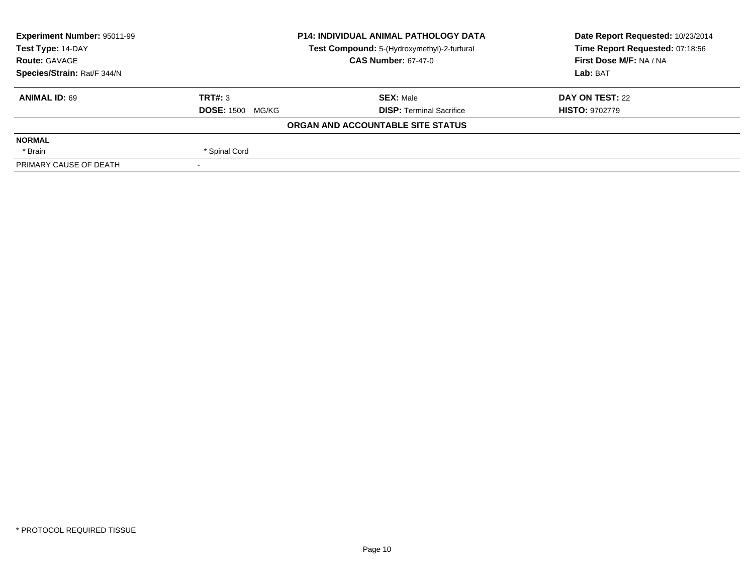| Experiment Number: 95011-99 | <b>P14: INDIVIDUAL ANIMAL PATHOLOGY DATA</b><br>Test Compound: 5-(Hydroxymethyl)-2-furfural |                                   | Date Report Requested: 10/23/2014 |
|-----------------------------|---------------------------------------------------------------------------------------------|-----------------------------------|-----------------------------------|
| Test Type: 14-DAY           |                                                                                             |                                   | Time Report Requested: 07:18:56   |
| <b>Route: GAVAGE</b>        |                                                                                             | <b>CAS Number: 67-47-0</b>        | First Dose M/F: NA / NA           |
| Species/Strain: Rat/F 344/N |                                                                                             |                                   | Lab: BAT                          |
| <b>ANIMAL ID: 69</b>        | TRT#: 3                                                                                     | <b>SEX: Male</b>                  | DAY ON TEST: 22                   |
|                             | <b>DOSE: 1500 MG/KG</b>                                                                     | <b>DISP: Terminal Sacrifice</b>   | <b>HISTO: 9702779</b>             |
|                             |                                                                                             | ORGAN AND ACCOUNTABLE SITE STATUS |                                   |
| <b>NORMAL</b>               |                                                                                             |                                   |                                   |
| * Brain                     | * Spinal Cord                                                                               |                                   |                                   |
| PRIMARY CAUSE OF DEATH      |                                                                                             |                                   |                                   |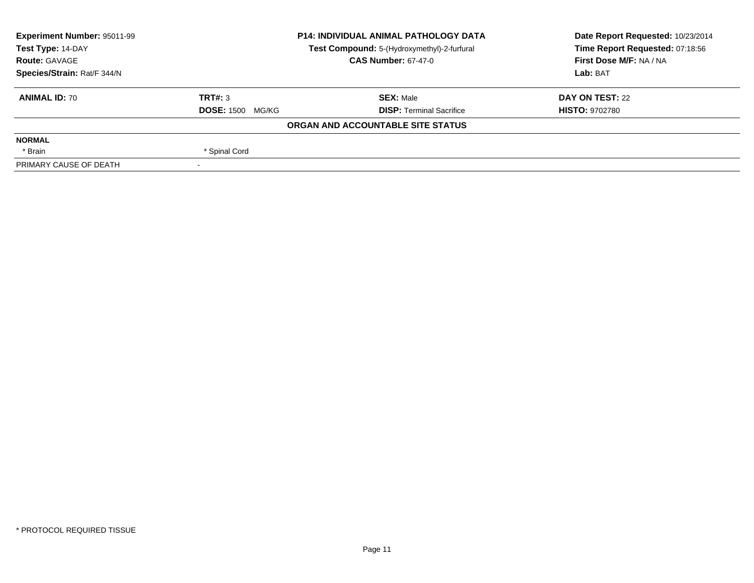| Experiment Number: 95011-99 | <b>P14: INDIVIDUAL ANIMAL PATHOLOGY DATA</b><br>Test Compound: 5-(Hydroxymethyl)-2-furfural |                                   | Date Report Requested: 10/23/2014 |
|-----------------------------|---------------------------------------------------------------------------------------------|-----------------------------------|-----------------------------------|
| Test Type: 14-DAY           |                                                                                             |                                   | Time Report Requested: 07:18:56   |
| <b>Route: GAVAGE</b>        |                                                                                             | <b>CAS Number: 67-47-0</b>        | First Dose M/F: NA / NA           |
| Species/Strain: Rat/F 344/N |                                                                                             |                                   | Lab: BAT                          |
| <b>ANIMAL ID: 70</b>        | TRT#: 3                                                                                     | <b>SEX: Male</b>                  | DAY ON TEST: 22                   |
|                             | <b>DOSE: 1500 MG/KG</b>                                                                     | <b>DISP: Terminal Sacrifice</b>   | <b>HISTO: 9702780</b>             |
|                             |                                                                                             | ORGAN AND ACCOUNTABLE SITE STATUS |                                   |
| <b>NORMAL</b>               |                                                                                             |                                   |                                   |
| * Brain                     | * Spinal Cord                                                                               |                                   |                                   |
| PRIMARY CAUSE OF DEATH      |                                                                                             |                                   |                                   |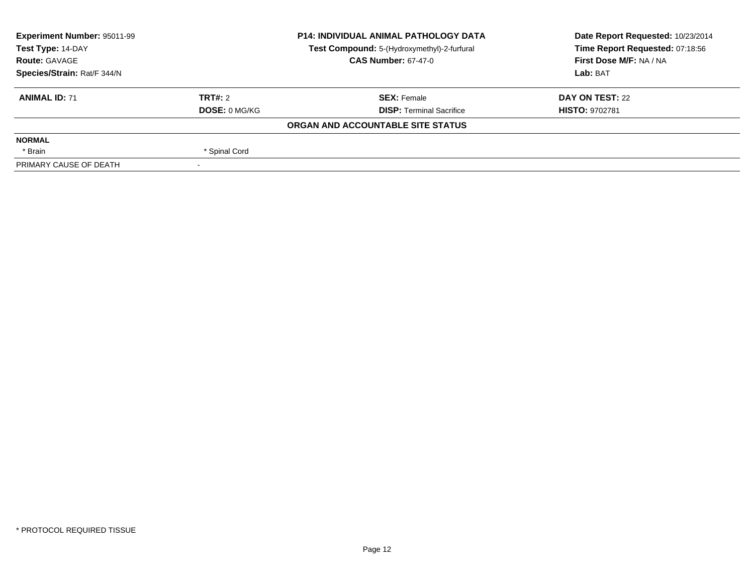| Experiment Number: 95011-99 | <b>P14: INDIVIDUAL ANIMAL PATHOLOGY DATA</b> |                                             | Date Report Requested: 10/23/2014 |
|-----------------------------|----------------------------------------------|---------------------------------------------|-----------------------------------|
| Test Type: 14-DAY           |                                              | Test Compound: 5-(Hydroxymethyl)-2-furfural | Time Report Requested: 07:18:56   |
| <b>Route: GAVAGE</b>        |                                              | <b>CAS Number: 67-47-0</b>                  | First Dose M/F: NA / NA           |
| Species/Strain: Rat/F 344/N |                                              |                                             | Lab: BAT                          |
| <b>ANIMAL ID: 71</b>        | TRT#: 2                                      | <b>SEX: Female</b>                          | DAY ON TEST: 22                   |
|                             | <b>DOSE: 0 MG/KG</b>                         | <b>DISP: Terminal Sacrifice</b>             | <b>HISTO: 9702781</b>             |
|                             |                                              | ORGAN AND ACCOUNTABLE SITE STATUS           |                                   |
| <b>NORMAL</b>               |                                              |                                             |                                   |
| * Brain                     | * Spinal Cord                                |                                             |                                   |
| PRIMARY CAUSE OF DEATH      |                                              |                                             |                                   |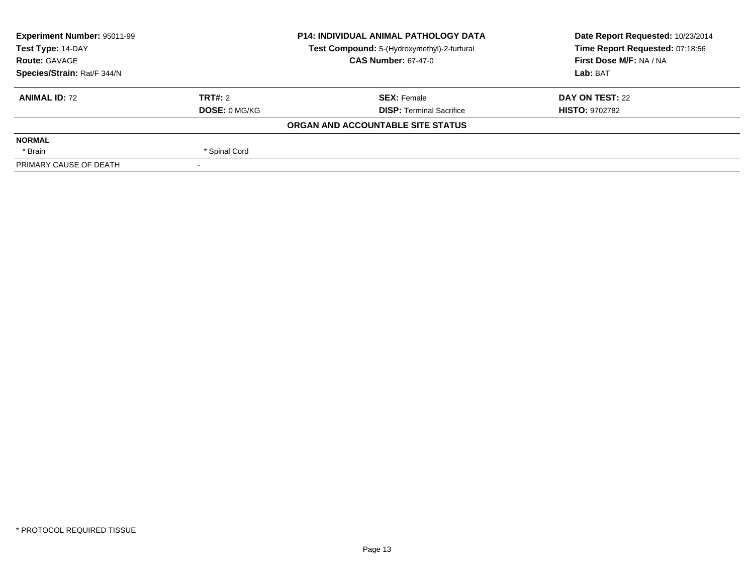| Experiment Number: 95011-99<br>Test Type: 14-DAY |                      | <b>P14: INDIVIDUAL ANIMAL PATHOLOGY DATA</b> | Date Report Requested: 10/23/2014 |  |
|--------------------------------------------------|----------------------|----------------------------------------------|-----------------------------------|--|
|                                                  |                      | Test Compound: 5-(Hydroxymethyl)-2-furfural  | Time Report Requested: 07:18:56   |  |
| <b>Route: GAVAGE</b>                             |                      | <b>CAS Number: 67-47-0</b>                   | First Dose M/F: NA / NA           |  |
| Species/Strain: Rat/F 344/N                      |                      |                                              | Lab: BAT                          |  |
| <b>ANIMAL ID: 72</b>                             | TRT#: 2              | <b>SEX: Female</b>                           | DAY ON TEST: 22                   |  |
|                                                  | <b>DOSE: 0 MG/KG</b> | <b>DISP: Terminal Sacrifice</b>              | <b>HISTO: 9702782</b>             |  |
|                                                  |                      | ORGAN AND ACCOUNTABLE SITE STATUS            |                                   |  |
| <b>NORMAL</b>                                    |                      |                                              |                                   |  |
| * Brain                                          | * Spinal Cord        |                                              |                                   |  |
| PRIMARY CAUSE OF DEATH                           |                      |                                              |                                   |  |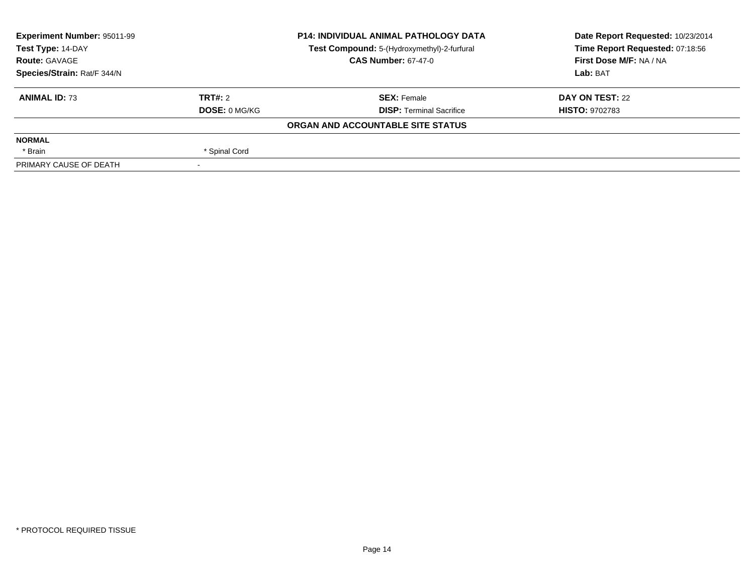| Experiment Number: 95011-99<br>Test Type: 14-DAY |                      | <b>P14: INDIVIDUAL ANIMAL PATHOLOGY DATA</b> | Date Report Requested: 10/23/2014 |  |
|--------------------------------------------------|----------------------|----------------------------------------------|-----------------------------------|--|
|                                                  |                      | Test Compound: 5-(Hydroxymethyl)-2-furfural  | Time Report Requested: 07:18:56   |  |
| <b>Route: GAVAGE</b>                             |                      | <b>CAS Number: 67-47-0</b>                   | First Dose M/F: NA / NA           |  |
| Species/Strain: Rat/F 344/N                      |                      |                                              | Lab: BAT                          |  |
| <b>ANIMAL ID: 73</b>                             | TRT#: 2              | <b>SEX: Female</b>                           | DAY ON TEST: 22                   |  |
|                                                  | <b>DOSE: 0 MG/KG</b> | <b>DISP: Terminal Sacrifice</b>              | <b>HISTO: 9702783</b>             |  |
|                                                  |                      | ORGAN AND ACCOUNTABLE SITE STATUS            |                                   |  |
| <b>NORMAL</b>                                    |                      |                                              |                                   |  |
| * Brain                                          | * Spinal Cord        |                                              |                                   |  |
| PRIMARY CAUSE OF DEATH                           |                      |                                              |                                   |  |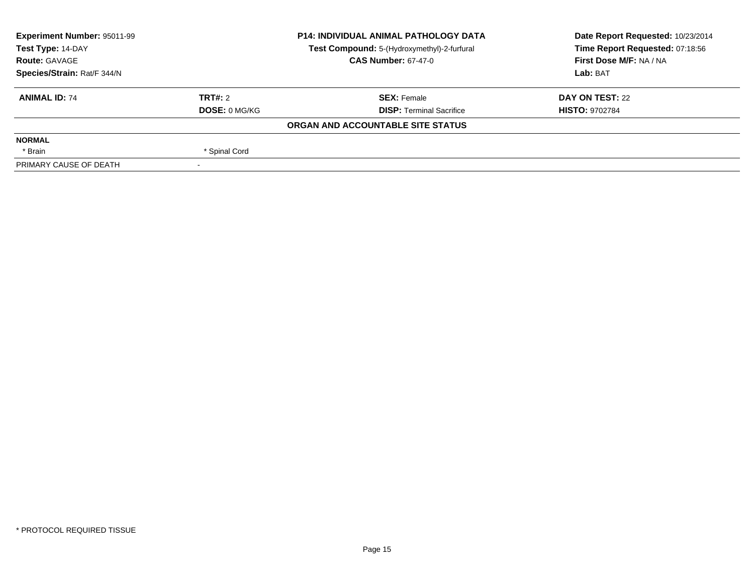| Experiment Number: 95011-99<br>Test Type: 14-DAY |                            | <b>P14: INDIVIDUAL ANIMAL PATHOLOGY DATA</b> | Date Report Requested: 10/23/2014                          |  |
|--------------------------------------------------|----------------------------|----------------------------------------------|------------------------------------------------------------|--|
|                                                  |                            | Test Compound: 5-(Hydroxymethyl)-2-furfural  | Time Report Requested: 07:18:56<br>First Dose M/F: NA / NA |  |
| <b>Route: GAVAGE</b>                             | <b>CAS Number: 67-47-0</b> |                                              |                                                            |  |
| Species/Strain: Rat/F 344/N                      |                            |                                              | Lab: BAT                                                   |  |
| <b>ANIMAL ID: 74</b>                             | TRT#: 2                    | <b>SEX: Female</b>                           | DAY ON TEST: 22                                            |  |
|                                                  | <b>DOSE: 0 MG/KG</b>       | <b>DISP: Terminal Sacrifice</b>              | <b>HISTO: 9702784</b>                                      |  |
|                                                  |                            | ORGAN AND ACCOUNTABLE SITE STATUS            |                                                            |  |
| <b>NORMAL</b>                                    |                            |                                              |                                                            |  |
| * Brain                                          | * Spinal Cord              |                                              |                                                            |  |
| PRIMARY CAUSE OF DEATH                           |                            |                                              |                                                            |  |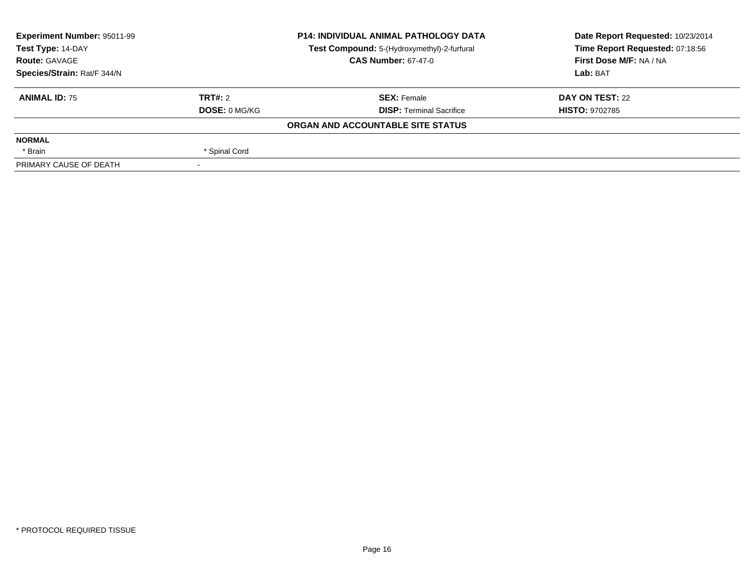| Experiment Number: 95011-99<br>Test Type: 14-DAY |                            | <b>P14: INDIVIDUAL ANIMAL PATHOLOGY DATA</b> | Date Report Requested: 10/23/2014 |  |
|--------------------------------------------------|----------------------------|----------------------------------------------|-----------------------------------|--|
|                                                  |                            | Test Compound: 5-(Hydroxymethyl)-2-furfural  | Time Report Requested: 07:18:56   |  |
| <b>Route: GAVAGE</b>                             | <b>CAS Number: 67-47-0</b> |                                              | First Dose M/F: NA / NA           |  |
| Species/Strain: Rat/F 344/N                      |                            |                                              | Lab: BAT                          |  |
| <b>ANIMAL ID: 75</b>                             | TRT#: 2                    | <b>SEX: Female</b>                           | DAY ON TEST: 22                   |  |
|                                                  | <b>DOSE: 0 MG/KG</b>       | <b>DISP: Terminal Sacrifice</b>              | <b>HISTO: 9702785</b>             |  |
|                                                  |                            | ORGAN AND ACCOUNTABLE SITE STATUS            |                                   |  |
| <b>NORMAL</b>                                    |                            |                                              |                                   |  |
| * Brain                                          | * Spinal Cord              |                                              |                                   |  |
| PRIMARY CAUSE OF DEATH                           |                            |                                              |                                   |  |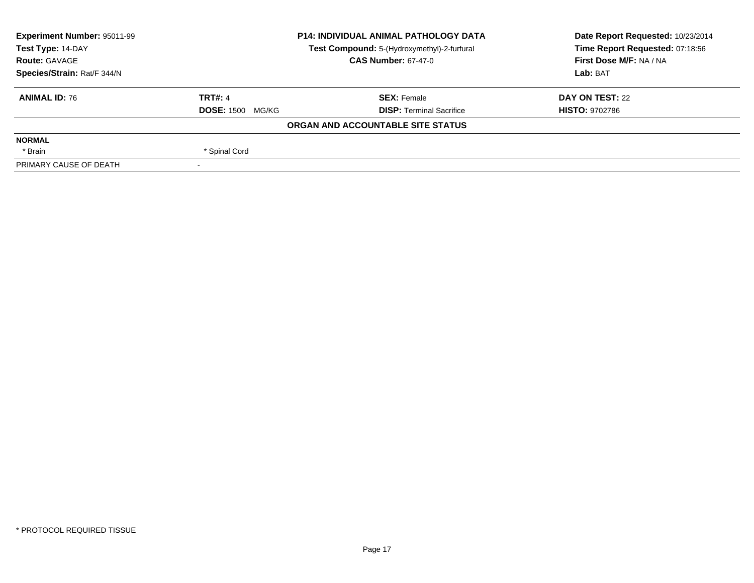| Experiment Number: 95011-99 | <b>P14: INDIVIDUAL ANIMAL PATHOLOGY DATA</b><br>Test Compound: 5-(Hydroxymethyl)-2-furfural<br><b>CAS Number: 67-47-0</b> |                                   | Date Report Requested: 10/23/2014 |  |
|-----------------------------|---------------------------------------------------------------------------------------------------------------------------|-----------------------------------|-----------------------------------|--|
| Test Type: 14-DAY           |                                                                                                                           |                                   | Time Report Requested: 07:18:56   |  |
| <b>Route: GAVAGE</b>        |                                                                                                                           |                                   | First Dose M/F: NA / NA           |  |
| Species/Strain: Rat/F 344/N |                                                                                                                           |                                   | Lab: BAT                          |  |
| <b>ANIMAL ID: 76</b>        | <b>TRT#: 4</b>                                                                                                            | <b>SEX: Female</b>                | DAY ON TEST: 22                   |  |
|                             | <b>DOSE: 1500 MG/KG</b>                                                                                                   | <b>DISP: Terminal Sacrifice</b>   | <b>HISTO: 9702786</b>             |  |
|                             |                                                                                                                           | ORGAN AND ACCOUNTABLE SITE STATUS |                                   |  |
| <b>NORMAL</b>               |                                                                                                                           |                                   |                                   |  |
| * Brain                     | * Spinal Cord                                                                                                             |                                   |                                   |  |
| PRIMARY CAUSE OF DEATH      |                                                                                                                           |                                   |                                   |  |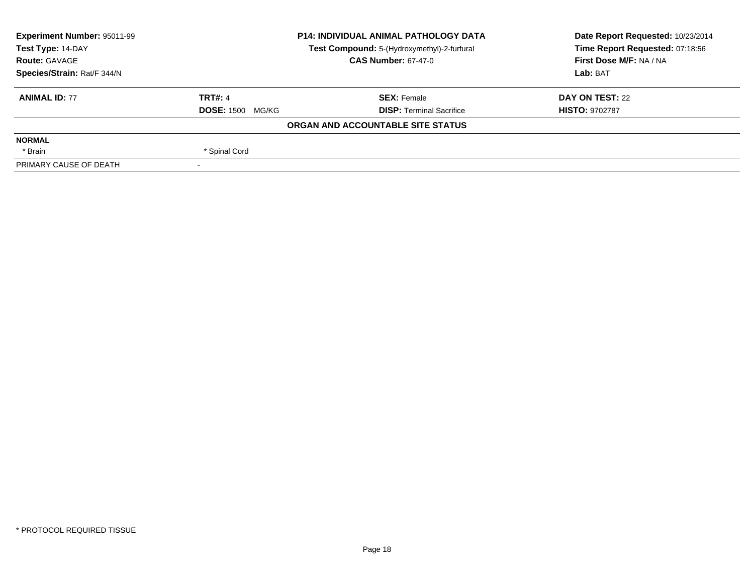| Experiment Number: 95011-99 | <b>P14: INDIVIDUAL ANIMAL PATHOLOGY DATA</b><br>Test Compound: 5-(Hydroxymethyl)-2-furfural<br><b>CAS Number: 67-47-0</b> |                                   | Date Report Requested: 10/23/2014 |  |
|-----------------------------|---------------------------------------------------------------------------------------------------------------------------|-----------------------------------|-----------------------------------|--|
| Test Type: 14-DAY           |                                                                                                                           |                                   | Time Report Requested: 07:18:56   |  |
| <b>Route: GAVAGE</b>        |                                                                                                                           |                                   | First Dose M/F: NA / NA           |  |
| Species/Strain: Rat/F 344/N |                                                                                                                           |                                   | Lab: BAT                          |  |
| <b>ANIMAL ID: 77</b>        | <b>TRT#: 4</b>                                                                                                            | <b>SEX: Female</b>                | DAY ON TEST: 22                   |  |
|                             | <b>DOSE: 1500 MG/KG</b>                                                                                                   | <b>DISP: Terminal Sacrifice</b>   | <b>HISTO: 9702787</b>             |  |
|                             |                                                                                                                           | ORGAN AND ACCOUNTABLE SITE STATUS |                                   |  |
| <b>NORMAL</b>               |                                                                                                                           |                                   |                                   |  |
| * Brain                     | * Spinal Cord                                                                                                             |                                   |                                   |  |
| PRIMARY CAUSE OF DEATH      |                                                                                                                           |                                   |                                   |  |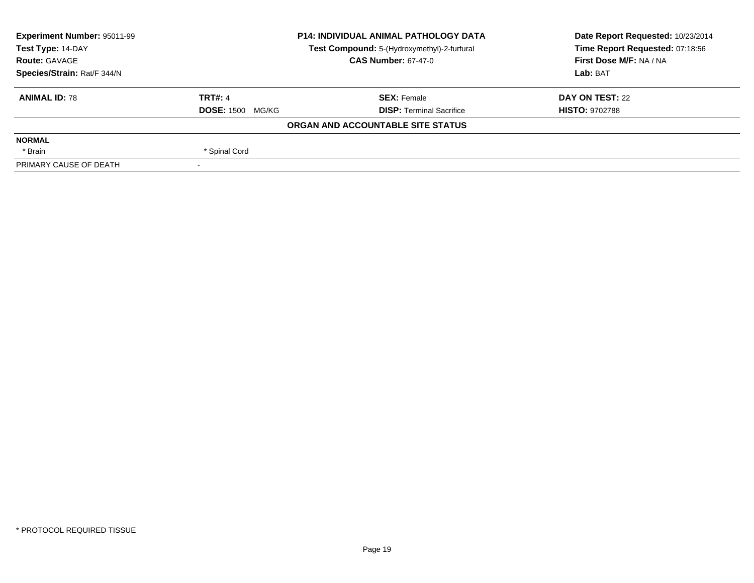| Experiment Number: 95011-99 | <b>P14: INDIVIDUAL ANIMAL PATHOLOGY DATA</b><br>Test Compound: 5-(Hydroxymethyl)-2-furfural<br><b>CAS Number: 67-47-0</b> |                                   | Date Report Requested: 10/23/2014 |  |
|-----------------------------|---------------------------------------------------------------------------------------------------------------------------|-----------------------------------|-----------------------------------|--|
| Test Type: 14-DAY           |                                                                                                                           |                                   | Time Report Requested: 07:18:56   |  |
| <b>Route: GAVAGE</b>        |                                                                                                                           |                                   | First Dose M/F: NA / NA           |  |
| Species/Strain: Rat/F 344/N |                                                                                                                           |                                   | Lab: BAT                          |  |
| <b>ANIMAL ID: 78</b>        | <b>TRT#: 4</b>                                                                                                            | <b>SEX: Female</b>                | DAY ON TEST: 22                   |  |
|                             | <b>DOSE: 1500 MG/KG</b>                                                                                                   | <b>DISP: Terminal Sacrifice</b>   | <b>HISTO: 9702788</b>             |  |
|                             |                                                                                                                           | ORGAN AND ACCOUNTABLE SITE STATUS |                                   |  |
| <b>NORMAL</b>               |                                                                                                                           |                                   |                                   |  |
| * Brain                     | * Spinal Cord                                                                                                             |                                   |                                   |  |
| PRIMARY CAUSE OF DEATH      |                                                                                                                           |                                   |                                   |  |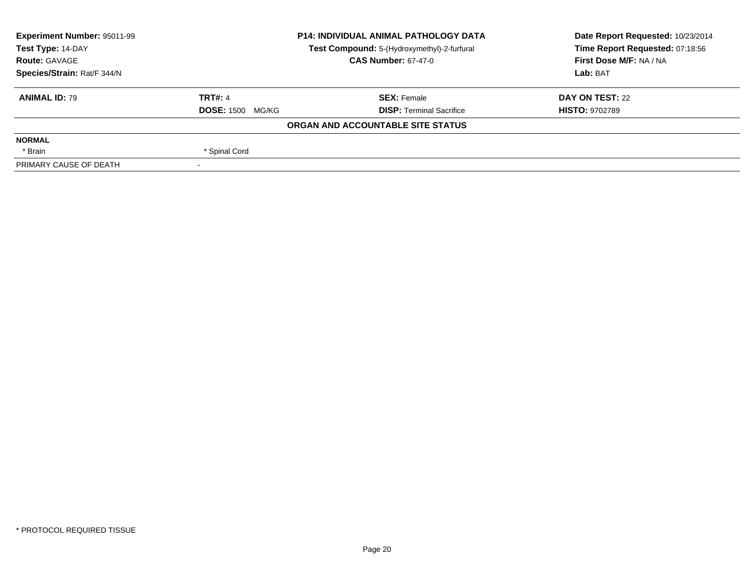| Experiment Number: 95011-99 | <b>P14: INDIVIDUAL ANIMAL PATHOLOGY DATA</b><br>Test Compound: 5-(Hydroxymethyl)-2-furfural<br><b>CAS Number: 67-47-0</b> |                                   | Date Report Requested: 10/23/2014 |  |
|-----------------------------|---------------------------------------------------------------------------------------------------------------------------|-----------------------------------|-----------------------------------|--|
| Test Type: 14-DAY           |                                                                                                                           |                                   | Time Report Requested: 07:18:56   |  |
| <b>Route: GAVAGE</b>        |                                                                                                                           |                                   | First Dose M/F: NA / NA           |  |
| Species/Strain: Rat/F 344/N |                                                                                                                           |                                   | Lab: BAT                          |  |
| <b>ANIMAL ID: 79</b>        | <b>TRT#: 4</b>                                                                                                            | <b>SEX: Female</b>                | DAY ON TEST: 22                   |  |
|                             | <b>DOSE: 1500 MG/KG</b>                                                                                                   | <b>DISP: Terminal Sacrifice</b>   | <b>HISTO: 9702789</b>             |  |
|                             |                                                                                                                           | ORGAN AND ACCOUNTABLE SITE STATUS |                                   |  |
| <b>NORMAL</b>               |                                                                                                                           |                                   |                                   |  |
| * Brain                     | * Spinal Cord                                                                                                             |                                   |                                   |  |
| PRIMARY CAUSE OF DEATH      |                                                                                                                           |                                   |                                   |  |